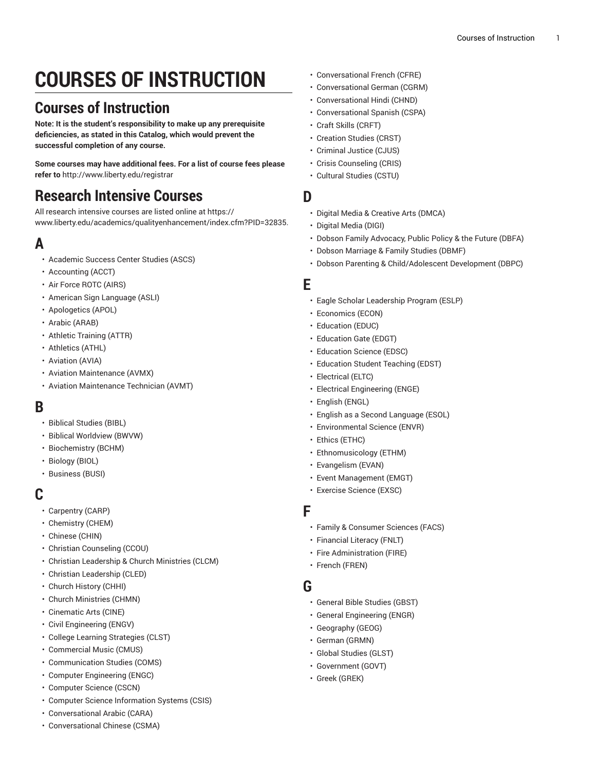# **COURSES OF INSTRUCTION**

# **Courses of Instruction**

**Note: It is the student's responsibility to make up any prerequisite deficiencies, as stated in this Catalog, which would prevent the successful completion of any course.**

**Some courses may have additional fees. For a list of course fees please refer to** [http://www.liberty.edu/registrar](http://www.liberty.edu/?pid=455)

# **Research Intensive Courses**

All research intensive courses are listed online at [https://](https://www.liberty.edu/academics/qualityenhancement/?PID=32835) [www.liberty.edu/academics/qualityenhancement/index.cfm?PID=32835](https://www.liberty.edu/academics/qualityenhancement/?PID=32835).

# **A**

- [Academic Success Center Studies \(ASCS\)](https://catalog.liberty.edu/undergraduate/courses/ascs/)
- [Accounting](https://catalog.liberty.edu/undergraduate/courses/acct/) (ACCT)
- Air Force ROTC [\(AIRS\)](https://catalog.liberty.edu/undergraduate/courses/airs/)
- [American Sign Language \(ASLI\)](https://catalog.liberty.edu/undergraduate/courses/asli/)
- [Apologetics \(APOL\)](https://catalog.liberty.edu/undergraduate/courses/apol/)
- [Arabic \(ARAB\)](https://catalog.liberty.edu/undergraduate/courses/arab/)
- Athletic [Training](https://catalog.liberty.edu/undergraduate/courses/attr/) (ATTR)
- [Athletics](https://catalog.liberty.edu/undergraduate/courses/athl/) (ATHL)
- [Aviation](https://catalog.liberty.edu/undergraduate/courses/avia/) (AVIA)
- Aviation [Maintenance](https://catalog.liberty.edu/undergraduate/courses/avmx/) (AVMX)
- Aviation [Maintenance](https://catalog.liberty.edu/undergraduate/courses/avmt/) Technician (AVMT)

### **B**

- [Biblical Studies \(BIBL\)](https://catalog.liberty.edu/undergraduate/courses/bibl/)
- Biblical [Worldview](https://catalog.liberty.edu/undergraduate/courses/bwvw/) (BWVW)
- [Biochemistry](https://catalog.liberty.edu/undergraduate/courses/bchm/) (BCHM)
- [Biology \(BIOL\)](https://catalog.liberty.edu/undergraduate/courses/biol/)
- [Business \(BUSI\)](https://catalog.liberty.edu/undergraduate/courses/busi/)

### **C**

- [Carpentry](https://catalog.liberty.edu/undergraduate/courses/carp/) (CARP)
- [Chemistry](https://catalog.liberty.edu/undergraduate/courses/chem/) (CHEM)
- [Chinese \(CHIN\)](https://catalog.liberty.edu/undergraduate/courses/chin/)
- [Christian Counseling \(CCOU\)](https://catalog.liberty.edu/undergraduate/courses/ccou/)
- Christian [Leadership](https://catalog.liberty.edu/undergraduate/courses/clcm/) & Church Ministries (CLCM)
- [Christian Leadership \(CLED\)](https://catalog.liberty.edu/undergraduate/courses/cled/)
- Church [History](https://catalog.liberty.edu/undergraduate/courses/chhi/) (CHHI)
- Church [Ministries](https://catalog.liberty.edu/undergraduate/courses/chmn/) (CHMN)
- [Cinematic](https://catalog.liberty.edu/undergraduate/courses/cine/) Arts (CINE)
- Civil [Engineering](https://catalog.liberty.edu/undergraduate/courses/engv/) (ENGV)
- [College Learning Strategies \(CLST\)](https://catalog.liberty.edu/undergraduate/courses/clst/)
- [Commercial](https://catalog.liberty.edu/undergraduate/courses/cmus/) Music (CMUS)
- [Communication Studies \(COMS\)](https://catalog.liberty.edu/undergraduate/courses/coms/)
- Computer [Engineering](https://catalog.liberty.edu/undergraduate/courses/engc/) (ENGC)
- [Computer Science \(CSCN\)](https://catalog.liberty.edu/undergraduate/courses/cscn/)
- [Computer Science Information Systems \(CSIS\)](https://catalog.liberty.edu/undergraduate/courses/csis/)
- [Conversational](https://catalog.liberty.edu/undergraduate/courses/cara/) Arabic (CARA)
- [Conversational](https://catalog.liberty.edu/undergraduate/courses/csma/) Chinese (CSMA)
- [Conversational](https://catalog.liberty.edu/undergraduate/courses/cfre/) French (CFRE)
- [Conversational](https://catalog.liberty.edu/undergraduate/courses/cgrm/) German (CGRM)
- [Conversational](https://catalog.liberty.edu/undergraduate/courses/chnd/) Hindi (CHND)
- [Conversational](https://catalog.liberty.edu/undergraduate/courses/cspa/) Spanish (CSPA)
- Craft Skills [\(CRFT\)](https://catalog.liberty.edu/undergraduate/courses/crft/)
- [Creation](https://catalog.liberty.edu/undergraduate/courses/crst/) Studies (CRST)
- [Criminal Justice \(CJUS\)](https://catalog.liberty.edu/undergraduate/courses/cjus/)
- [Crisis Counseling \(CRIS\)](https://catalog.liberty.edu/undergraduate/courses/cris/)
- [Cultural Studies \(CSTU\)](https://catalog.liberty.edu/undergraduate/courses/cstu/)

#### **D**

- Digital Media & [Creative](https://catalog.liberty.edu/undergraduate/courses/dmca/) Arts (DMCA)
- [Digital Media \(DIGI\)](https://catalog.liberty.edu/undergraduate/courses/digi/)
- Dobson Family [Advocacy,](https://catalog.liberty.edu/undergraduate/courses/dbfa/) Public Policy & the Future (DBFA)
- Dobson [Marriage](https://catalog.liberty.edu/undergraduate/courses/dbmf/) & Family Studies (DBMF)
- Dobson Parenting & [Child/Adolescent](https://catalog.liberty.edu/undergraduate/courses/dbpc/) Development (DBPC)

#### **E**

- Eagle Scholar [Leadership](https://catalog.liberty.edu/undergraduate/courses/eslp/) Program (ESLP)
- [Economics](https://catalog.liberty.edu/undergraduate/courses/econ/) (ECON)
- [Education](https://catalog.liberty.edu/undergraduate/courses/educ/) (EDUC)
- [Education](https://catalog.liberty.edu/undergraduate/courses/edgt/) Gate (EDGT)
- [Education](https://catalog.liberty.edu/undergraduate/courses/edsc/) Science (EDSC)
- [Education](https://catalog.liberty.edu/undergraduate/courses/edst/) Student Teaching (EDST)
- [Electrical](https://catalog.liberty.edu/undergraduate/courses/eltc/) (ELTC)
- [Electrical Engineering \(ENGE\)](https://catalog.liberty.edu/undergraduate/courses/enge/)
- [English \(ENGL\)](https://catalog.liberty.edu/undergraduate/courses/engl/)
- [English as a Second Language \(ESOL\)](https://catalog.liberty.edu/undergraduate/courses/esol/)
- [Environmental](https://catalog.liberty.edu/undergraduate/courses/envr/) Science (ENVR)
- Ethics [\(ETHC\)](https://catalog.liberty.edu/undergraduate/courses/ethc/)
- [Ethnomusicology](https://catalog.liberty.edu/undergraduate/courses/ethm/) (ETHM)
- [Evangelism](https://catalog.liberty.edu/undergraduate/courses/evan/) (EVAN)
- Event [Management](https://catalog.liberty.edu/undergraduate/courses/emgt/) (EMGT)
- [Exercise](https://catalog.liberty.edu/undergraduate/courses/exsc/) Science (EXSC)

#### **F**

- Family & [Consumer](https://catalog.liberty.edu/undergraduate/courses/facs/) Sciences (FACS)
- [Financial](https://catalog.liberty.edu/undergraduate/courses/fnlt/) Literacy (FNLT)
- Fire [Administration](https://catalog.liberty.edu/undergraduate/courses/fire/) (FIRE)
- French [\(FREN\)](https://catalog.liberty.edu/undergraduate/courses/fren/)

### **G**

- [General Bible Studies \(GBST\)](https://catalog.liberty.edu/undergraduate/courses/gbst/)
- [General Engineering \(ENGR\)](https://catalog.liberty.edu/undergraduate/courses/engr/)
- [Geography \(GEOG\)](https://catalog.liberty.edu/undergraduate/courses/geog/)
- [German \(GRMN\)](https://catalog.liberty.edu/undergraduate/courses/grmn/)
- [Global Studies \(GLST\)](https://catalog.liberty.edu/undergraduate/courses/glst/)
- [Government](https://catalog.liberty.edu/undergraduate/courses/govt/) (GOVT)
- Greek [\(GREK\)](https://catalog.liberty.edu/undergraduate/courses/grek/)